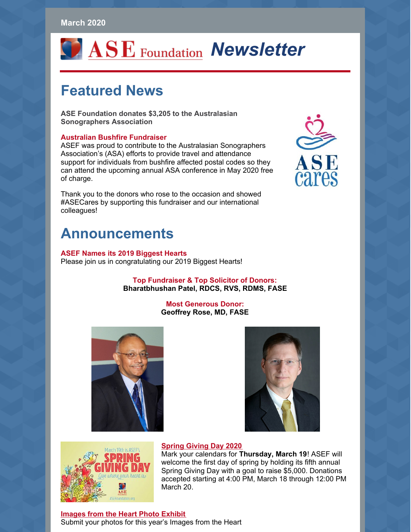#### **March 2020**

# *Newsletter* ASE Foundation Newsletter

### **Featured News**

**ASE Foundation donates \$3,205 to the Australasian Sonographers Association**

#### **Australian Bushfire Fundraiser**

ASEF was proud to contribute to the Australasian Sonographers Association's (ASA) efforts to provide travel and attendance support for individuals from bushfire affected postal codes so they can attend the upcoming annual ASA conference in May 2020 free of charge.

Thank you to the donors who rose to the occasion and showed #ASECares by supporting this fundraiser and our international colleagues!

## **Announcements**

#### **ASEF Names its 2019 Biggest Hearts**

Please join us in congratulating our 2019 Biggest Hearts!

#### **Top Fundraiser & Top Solicitor of Donors: Bharatbhushan Patel, RDCS, RVS, RDMS, FASE**

#### **Most Generous Donor: Geoffrey Rose, MD, FASE**





#### **[Spring](https://www.asefoundation.org/spring-giving-day/) Giving Day 2020**



Mark your calendars for **Thursday, March 19**! ASEF will welcome the first day of spring by holding its fifth annual Spring Giving Day with a goal to raise \$5,000. Donations accepted starting at 4:00 PM, March 18 through 12:00 PM March 20.

**[Images](https://www.asefoundation.org/images-from-the-heart/) from the Heart Photo Exhibit** Submit your photos for this year's Images from the Heart

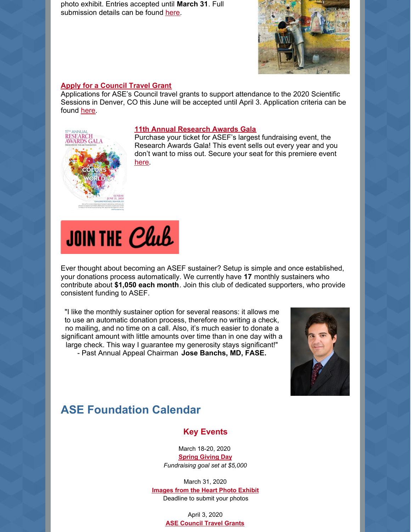photo exhibit. Entries accepted until **March 31**. Full submission details can be found [here](https://www.asefoundation.org/images-from-the-heart/).



#### **Apply for a [Council](https://www.asefoundation.org/council-travel-grants/) Travel Grant**

Applications for ASE's Council travel grants to support attendance to the 2020 Scientific Sessions in Denver, CO this June will be accepted until April 3. Application criteria can be found [here](https://www.asefoundation.org/council-travel-grants/).



#### **11th Annual [Research](https://www.asefoundation.org/11th-annual-research-awards-gala/) Awards Gala**

Purchase your ticket for ASEF's largest fundraising event, the Research Awards Gala! This event sells out every year and you don't want to miss out. Secure your seat for this premiere event [here](https://www.asefoundation.org/11th-annual-research-awards-gala/).



Ever thought about becoming an ASEF sustainer? Setup is simple and once established, your donations process automatically. We currently have **17** monthly sustainers who contribute about **\$1,050 each month**. Join this club of dedicated supporters, who provide consistent funding to ASEF.

"I like the monthly sustainer option for several reasons: it allows me to use an automatic donation process, therefore no writing a check, no mailing, and no time on a call. Also, it's much easier to donate a significant amount with little amounts over time than in one day with a large check. This way I guarantee my generosity stays significant!" - Past Annual Appeal Chairman **Jose Banchs, MD, FASE.**



### **ASE Foundation Calendar**

#### **Key Events**

March 18-20, 2020 **[Spring](https://www.asefoundation.org/spring-giving-day/) Giving Day** *Fundraising goal set at \$5,000*

March 31, 2020 **[Images](https://www.asefoundation.org/images-from-the-heart/) from the Heart Photo Exhibit** Deadline to submit your photos

> April 3, 2020 **ASE [Council](https://www.asefoundation.org/council-travel-grants/) Travel Grants**